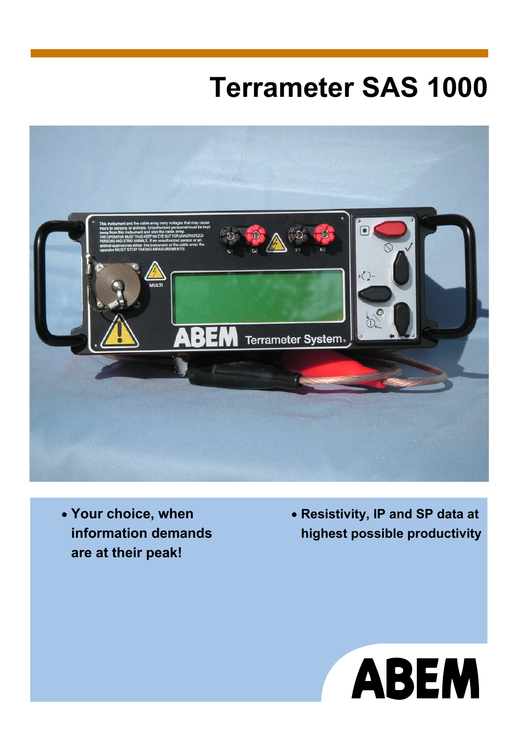# **Terrameter SAS 1000**



• **Your choice, when information demands are at their peak!** 

• **Resistivity, IP and SP data at highest possible productivity**